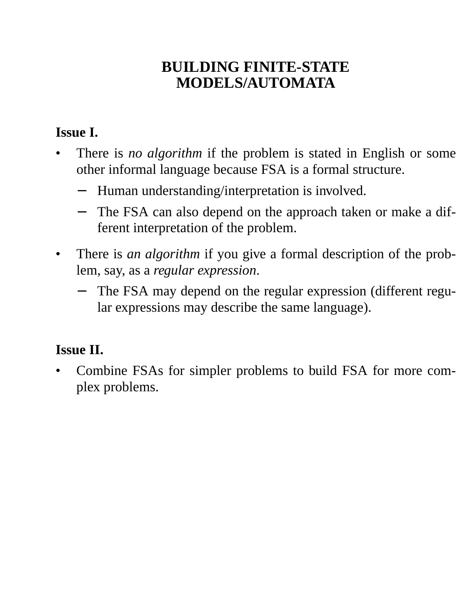# **BUILDING FINITE-STATE MODELS/AUTOMATA**

## **Issue I.**

- There is *no algorithm* if the problem is stated in English or some other informal language because FSA is a formal structure.
	- − Human understanding/interpretation is involved.
	- The FSA can also depend on the approach taken or make a different interpretation of the problem.
- There is *an algorithm* if you give a formal description of the problem, say, as a *regular expression*.
	- The FSA may depend on the regular expression (different regular expressions may describe the same language).

### **Issue II.**

• Combine FSAs for simpler problems to build FSA for more complex problems.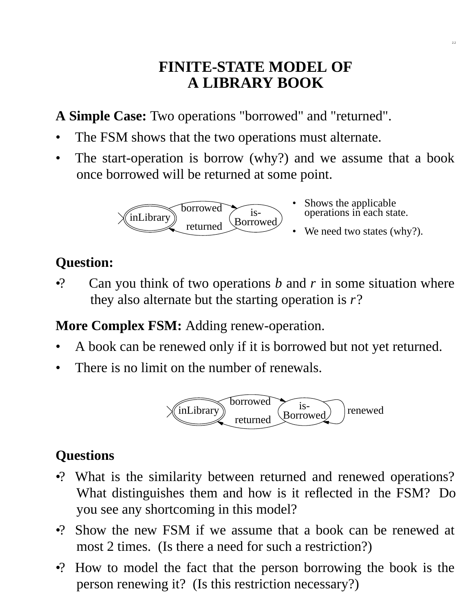# **FINITE-STATE MODEL OF A LIBRARY BOOK**

A **Simple Case:** Two operations "borrowed" and "returned".

- The FSM shows that the two operations must alternate.
- The start-operation is borrow (why?) and we assume that a book once borrowed will be returned at some point.



- Shows the applicable operations in each state. •
- We need two states (why?).

2.2

# **Question:**

•? Can you think of two operations *b* and *r* in some situation where they also alternate but the starting operation is *r*?

**More Complex FSM:** Adding renew-operation.

- A book can be renewed only if it is borrowed but not yet returned.
- There is no limit on the number of renewals.



# **Questions**

- •? What is the similarity between returned and renewed operations? What distinguishes them and how is it reflected in the FSM? Do you see any shortcoming in this model?
- •? Show the new FSM if we assume that a book can be renewed at most 2 times. (Is there a need for such a restriction?)
- •? How to model the fact that the person borrowing the book is the person renewing it? (Is this restriction necessary?)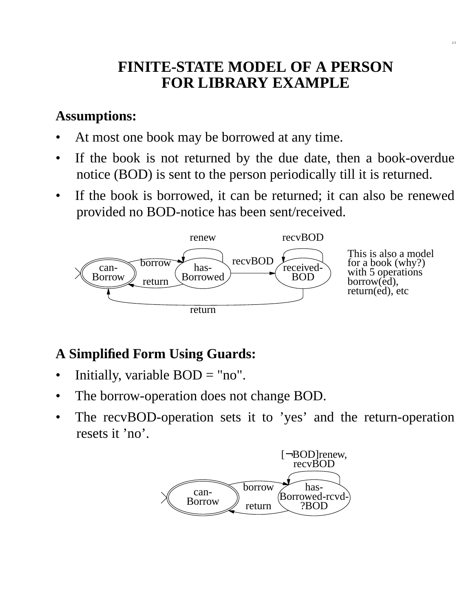# **FINITE-STATE MODEL OF A PERSON FOR LIBRARY EXAMPLE**

2.3

### **Assumptions:**

- At most one book may be borrowed at any time.
- If the book is not returned by the due date, then a book-overdue notice (BOD) is sent to the person periodically till it is returned.
- If the book is borrowed, it can be returned; it can also be renewed provided no BOD-notice has been sent/received.



# **A Simplified Form Using Guards:**

- Initially, variable  $BOD = "no"$ .
- The borrow-operation does not change BOD.
- The recvBOD-operation sets it to 'yes' and the return-operation resets it 'no'.

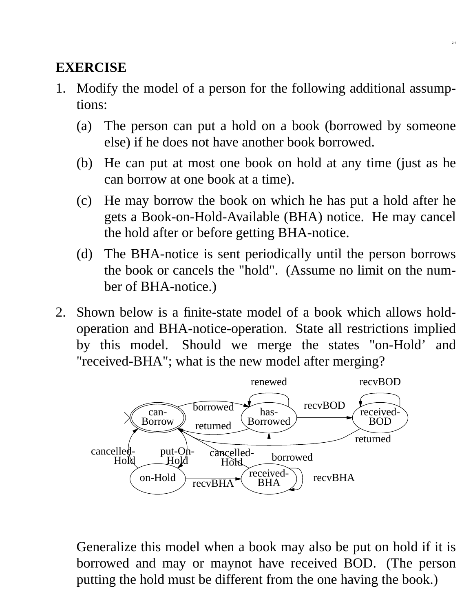## **EXERCISE**

- 1. Modify the model of a person for the following additional assumptions:
	- (a) The person can put a hold on a book (borrowed by someone else) if he does not have another book borrowed.

2.4

- (b) He can put at most one book on hold at any time (just as he can borrow at one book at a time).
- (c) He may borrow the book on which he has put a hold after he gets a Book-on-Hold-Available (BHA) notice. He may cancel the hold after or before getting BHA-notice.
- (d) The BHA-notice is sent periodically until the person borrows the book or cancels the "hold". (Assume no limit on the number of BHA-notice.)
- 2. Shown below is a finite-state model of a book which allows holdoperation and BHA-notice-operation. State all restrictions implied by this model. Should we merge the states "on-Hold' and "received-BHA"; what is the new model after merging?



Generalize this model when a book may also be put on hold if it is borrowed and may or maynot have received BOD. (The person putting the hold must be different from the one having the book.)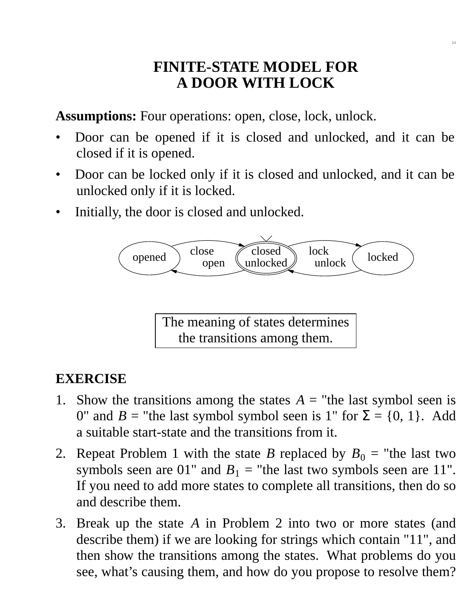## **FINITE-STATE MODEL FOR A DOOR WITH LOCK**

2.5

**Assumptions:** Four operations: open, close, lock, unlock.

- Door can be opened if it is closed and unlocked, and it can be closed if it is opened.
- Door can be locked only if it is closed and unlocked, and it can be unlocked only if it is locked.
- Initially, the door is closed and unlocked.



The meaning of states determines the transitions among them.

## **EXERCISE**

- 1. Show the transitions among the states  $A =$  "the last symbol seen is 0" and  $B =$  "the last symbol symbol seen is 1" for  $\Sigma = \{0, 1\}$ . Add a suitable start-state and the transitions from it.
- 2. Repeat Problem 1 with the state *B* replaced by  $B_0 =$  "the last two symbols seen are 01" and  $B_1$  = "the last two symbols seen are 11". If you need to add more states to complete all transitions, then do so and describe them.
- 3. Break up the state *A* in Problem 2 into two or more states (and describe them) if we are looking for strings which contain "11", and then show the transitions among the states. What problems do you see, what's causing them, and how do you propose to resolve them?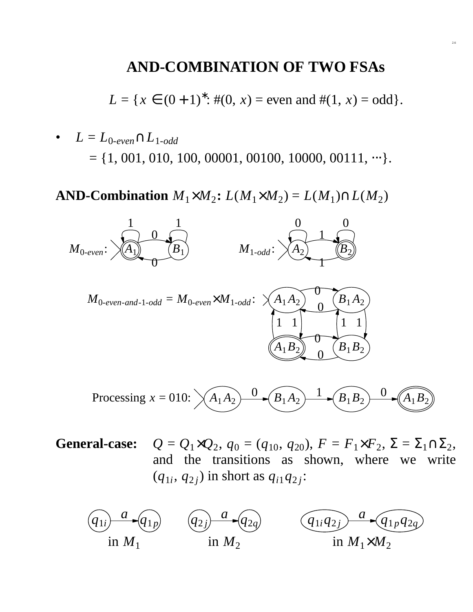#### **AND-COMBINATION OF TWO FSAs**

2.6

 $L = \{x \in (0+1)^{*}: \#(0, x) = \text{even} \text{ and } \#(1, x) = \text{odd}\}.$ 

•  $L = L_{0\text{-}even} \cap L_{1\text{-}odd}$  $= \{1, 001, 010, 100, 00001, 00100, 10000, 00111, \cdots\}.$ 

**AND-Combination**  $M_1 \times M_2$ :  $L(M_1 \times M_2) = L(M_1) \cap L(M_2)$ 



 $General-case:$ ,  $q_0 = (q_{10}, q_{20}), F = F_1 \times F_2, \Sigma = \Sigma_1 \cap \Sigma_2,$ and the transitions as shown, where we write  $(q_{1i}, q_{2j})$  in short as  $q_{i1}q_{2j}$ :

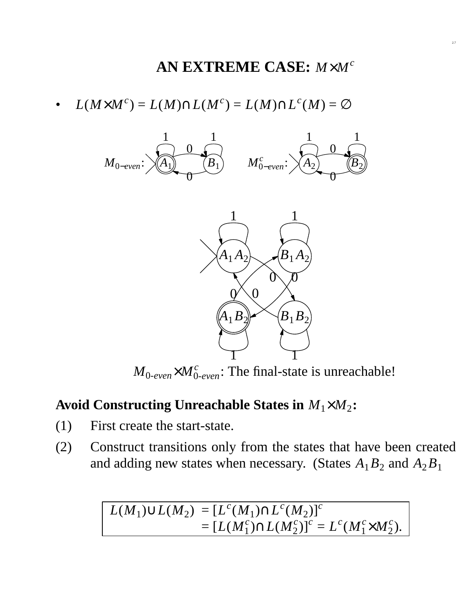# **AN EXTREME CASE:** *M*×*M c*

•  $L(M\times M^c) = L(M) \cap L(M^c) = L(M) \cap L^c(M) = \varnothing$ 



 $M_{0-even} \times M_{0-even}^c$ : The final-state is unreachable!

### **Av oid Constructing Unreachable States in** *M*1×*M*<sup>2</sup> **:**

- (1) First create the start-state.
- (2) Construct transitions only from the states that have been created and adding new states when necessary. (States  $A_1B_2$  and  $A_2B_1$

$$
L(M_1) \cup L(M_2) = [L^{c}(M_1) \cap L^{c}(M_2)]^{c}
$$
  
= 
$$
[L(M_1^{c}) \cap L(M_2^{c})]^{c} = L^{c}(M_1^{c} \times M_2^{c}).
$$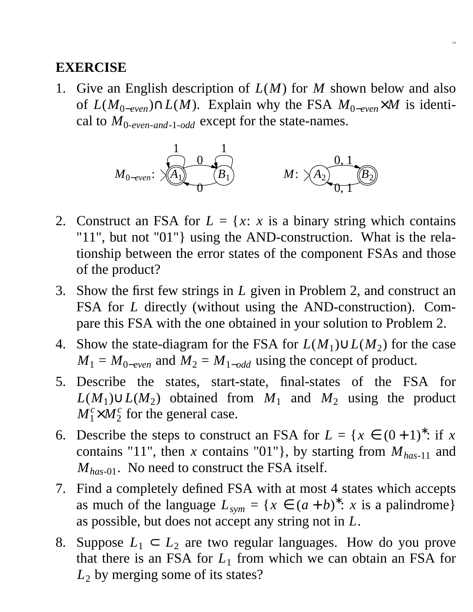#### **EXERCISE**

1. Give an English description of *L*(*M*) for *M* shown below and also of *L*( $M_{0-even}$ )∩*L*( $M$ ). Explain why the FSA  $M_{0-even} \times M$  is identical to *M*0-*even*-*and*-1-*odd* except for the state-names.

2.8



- 2. Construct an FSA for  $L = \{x : x \text{ is a binary string which contains } x \in \mathbb{R}\}$ "11", but not "01"} using the AND-construction. What is the relationship between the error states of the component FSAs and those of the product?
- 3. Show the first few strings in *L* given in Problem 2, and construct an FSA for *L* directly (without using the AND-construction). Compare this FSA with the one obtained in your solution to Problem 2.
- 4. Show the state-diagram for the FSA for  $L(M_1) \cup L(M_2)$  for the case  $M_1 = M_{0-even}$  and  $M_2 = M_{1-odd}$  using the concept of product.
- 5. Describe the states, start-state, final-states of the FSA for  $L(M_1) \cup L(M_2)$  obtained from  $M_1$  and  $M_2$  using the product  $M_1^c\times M_2^c$  $\frac{c}{2}$  for the general case.
- 6. Describe the steps to construct an FSA for  $L = \{x \in (0+1)^{*}: \text{if } x \in (0+1)^{*}: \text{if } x \in (0+1)^{*}: \text{if } x \in (0+1)^{*}: \text{if } x \in (0+1)^{*}: \text{if } x \in (0+1)^{*}: \text{if } x \in (0+1)^{*}: \text{if } x \in (0+1)^{*}: \text{if } x \in (0+1)^{*}: \text{if } x \in (0+1)^{*}: \text{if } x \in (0+1)^{*}: \text{if } x \in (0$ contains "11", then *x* contains "01"}, by starting from  $M_{has-11}$  and *M*<sub>has-01</sub>. No need to construct the FSA itself.
- 7. Find a completely defined FSA with at most 4 states which accepts as much of the language  $L_{sym} = \{x \in (a+b)^* : x \text{ is a palindrome}\}\$ as possible, but does not accept any string not in *L*.
- 8. Suppose  $L_1 \subset L_2$  are two regular languages. How do you prove that there is an FSA for  $L_1$  from which we can obtain an FSA for  $L_2$  by merging some of its states?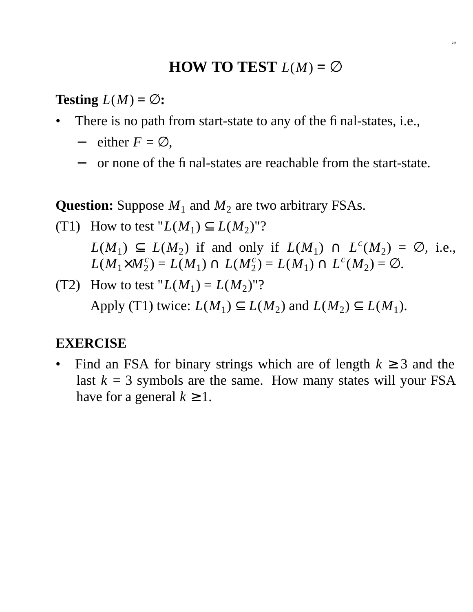## **HOW TO TEST**  $L(M) = \emptyset$

2.9

**Testing**  $L(M) = \emptyset$ :

- There is no path from start-state to any of the final-states, i.e.,
	- $-$  either  $F = \emptyset$ ,
	- − or none of the final-states are reachable from the start-state.

**Question:** Suppose  $M_1$  and  $M_2$  are two arbitrary FSAs.

(T1) How to test "
$$
L(M_1) \subseteq L(M_2)
$$
"?  
\n $L(M_1) \subseteq L(M_2)$  if and only if  $L(M_1) \cap L^{c}(M_2) = \emptyset$ , i.e.,  
\n $L(M_1 \times M_2^{c}) = L(M_1) \cap L(M_2^{c}) = L(M_1) \cap L^{c}(M_2) = \emptyset$ .

(T2) How to test " $L(M_1) = L(M_2)$ "? Apply (T1) twice:  $L(M_1) \subseteq L(M_2)$  and  $L(M_2) \subseteq L(M_1)$ .

#### **EXERCISE**

Find an FSA for binary strings which are of length  $k \geq 3$  and the last  $k = 3$  symbols are the same. How many states will your FSA have for a general  $k \geq 1$ .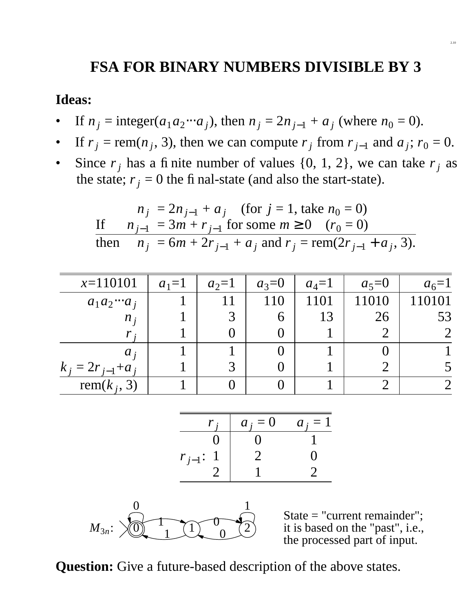# **FSA FOR BINARY NUMBERS DIVISIBLE BY 3**

#### **Ideas:**

- If  $n_j = \text{integer}(a_1 a_2 \cdots a_j)$ , then  $n_j = 2n_{j-1} + a_j$  (where  $n_0 = 0$ ).
- If  $r_j$  = rem( $n_j$ , 3), then we can compute  $r_j$  from  $r_{j-1}$  and  $a_j$ ;  $r_0 = 0$ .
- Since  $r_j$  has a finite number of values  $\{0, 1, 2\}$ , we can take  $r_j$  as the state;  $r_j = 0$  the final-state (and also the start-state).

$$
n_j = 2n_{j-1} + a_j \quad \text{(for } j = 1 \text{, take } n_0 = 0\text{)}
$$
\n
$$
\text{If } \quad n_{j-1} = 3m + r_{j-1} \text{ for some } m \ge 0 \quad (r_0 = 0\text{)}
$$
\n
$$
\text{then } \quad n_j = 6m + 2r_{j-1} + a_j \text{ and } r_j = \text{rem}(2r_{j-1} + a_j, 3\text{)}.
$$

| $x=110101$           | $a_1=1$ | $a_2=1$ | $a_3=0$ | $a_4=1$ | $a_5=0$ | $a_6 = 1$ |
|----------------------|---------|---------|---------|---------|---------|-----------|
| $a_1 a_2 \cdots a_j$ |         |         | 110     | 1101    | 11010   | 110101    |
| $n_i$                |         |         | n       | 13      | 26      | 53        |
|                      |         |         |         |         |         |           |
| $a_i$                |         |         |         |         |         |           |
| $k_i = 2r_{i-1}+a_i$ |         |         |         |         |         |           |
| rem( $k_i$ , 3)      |         |         |         |         |         |           |

| $r_j$         | $a_j = 0$ | $a_j = 1$ |
|---------------|-----------|-----------|
| 0             | 0         | 1         |
| $r_{j-1}$ : 1 | 2         | 0         |
| 2             | 1         | 2         |



State = "current remainder"; it is based on the "past", i.e., the processed part of input.

**Question:** Give a future-based description of the above states.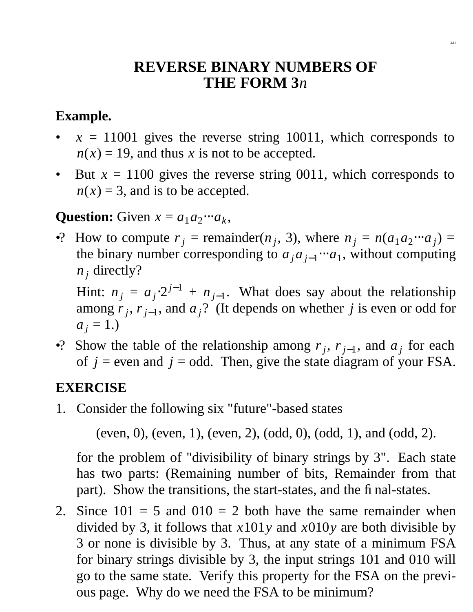## **REVERSE BINARY NUMBERS OF THE FORM 3***n*

2.11

### **Example.**

- $x = 11001$  gives the reverse string 10011, which corresponds to  $n(x) = 19$ , and thus *x* is not to be accepted.
- But  $x = 1100$  gives the reverse string 0011, which corresponds to  $n(x) = 3$ , and is to be accepted.

### **Question:** Given  $x = a_1 a_2 \cdots a_k$ ,

•? How to compute  $r_j$  = remainder( $n_j$ , 3), where  $n_j = n(a_1a_2 \cdots a_j)$  = the binary number corresponding to  $a_j a_{j-1} \cdots a_1$ , without computing  $n_i$  directly?

Hint:  $n_j = a_j \cdot 2^{j-1} + n_{j-1}$ . What does say about the relationship among  $r_j$ ,  $r_{j-1}$ , and  $a_j$ ? (It depends on whether *j* is even or odd for  $a_i = 1.$ 

•? Show the table of the relationship among  $r_j$ ,  $r_{j-1}$ , and  $a_j$  for each of  $j =$  even and  $j =$  odd. Then, give the state diagram of your FSA.

#### **EXERCISE**

1. Consider the following six "future"-based states

(even, 0), (even, 1), (even, 2), (odd, 0), (odd, 1), and (odd, 2).

for the problem of "divisibility of binary strings by 3". Each state has two parts: (Remaining number of bits, Remainder from that part). Show the transitions, the start-states, and the final-states.

2. Since  $101 = 5$  and  $010 = 2$  both have the same remainder when divided by 3, it follows that *x*101*y* and *x*010*y* are both divisible by 3 or none is divisible by 3. Thus, at any state of a minimum FSA for binary strings divisible by 3, the input strings 101 and 010 will go to the same state. Verify this property for the FSA on the previous page. Why do we need the FSA to be minimum?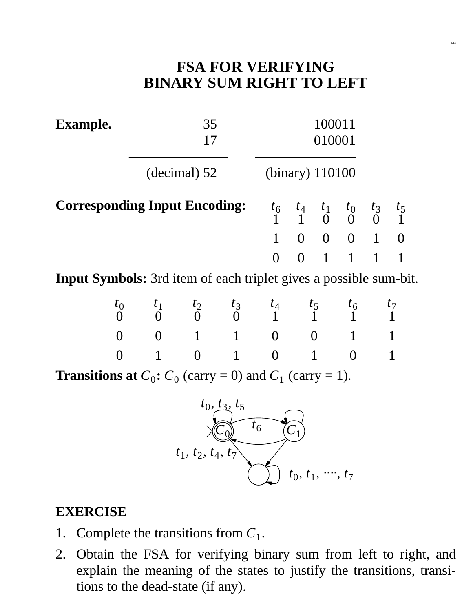## **FSA FOR VERIFYING BINARY SUM RIGHT TO LEFT**

**Example.** 35 100011

17 010001

(decimal) 52 (binary) 110100

**Corresponding Input Encoding:** 



**Input Symbols:** 3rd item of each triplet gives a possible sum-bit.

$$
\begin{pmatrix} t_0 & t_1 & t_2 & t_3 & t_4 & t_5 & t_6 & t_7 \ 0 & 0 & 0 & 1 & 0 \ 0 & 0 & 1 & 0 & 1 \end{pmatrix} \quad \begin{pmatrix} 0 \\ 1 \\ 1 \\ 0 \end{pmatrix} \quad \begin{pmatrix} 1 \\ 0 \\ 0 \\ 0 \end{pmatrix} \quad \begin{pmatrix} 1 \\ 0 \\ 1 \\ 1 \end{pmatrix} \quad \begin{pmatrix} 1 \\ 1 \\ 0 \\ 1 \end{pmatrix} \quad \begin{pmatrix} 1 \\ 1 \\ 1 \\ 1 \end{pmatrix}
$$

**Transitions at**  $C_0$ **:**  $C_0$  (carry = 0) and  $C_1$  (carry = 1).



#### **EXERCISE**

- 1. Complete the transitions from  $C_1$ .
- 2. Obtain the FSA for verifying binary sum from left to right, and explain the meaning of the states to justify the transitions, transitions to the dead-state (if any).